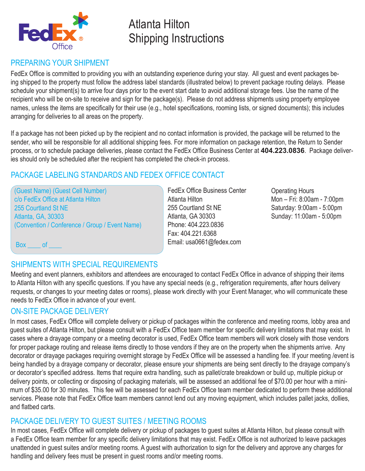

# Atlanta Hilton Shipping Instructions

# PREPARING YOUR SHIPMENT

FedEx Office is committed to providing you with an outstanding experience during your stay. All guest and event packages being shipped to the property must follow the address label standards (illustrated below) to prevent package routing delays. Please schedule your shipment(s) to arrive four days prior to the event start date to avoid additional storage fees. Use the name of the recipient who will be on-site to receive and sign for the package(s). Please do not address shipments using property employee names, unless the items are specifically for their use (e.g., hotel specifications, rooming lists, or signed documents); this includes arranging for deliveries to all areas on the property.

If a package has not been picked up by the recipient and no contact information is provided, the package will be returned to the sender, who will be responsible for all additional shipping fees. For more information on package retention, the Return to Sender process, or to schedule package deliveries, please contact the FedEx Office Business Center at **404.223.0836**. Package deliveries should only be scheduled after the recipient has completed the check-in process.

## PACKAGE LABELING STANDARDS AND FEDEX OFFICE CONTACT

(Guest Name) (Guest Cell Number) c/o FedEx Office at Atlanta Hilton 255 Courtland St NE Atlanta, GA, 30303 (Convention / Conference / Group / Event Name)

FedEx Office Business Center Atlanta Hilton 255 Courtland St NE Atlanta, GA 30303 Phone: 404.223.0836 Fax: 404.221.6368 Email: usa0661@fedex.com

Operating Hours Mon – Fri: 8:00am - 7:00pm Saturday: 9:00am - 5:00pm Sunday: 11:00am - 5:00pm

Box of

## SHIPMENTS WITH SPECIAL REQUIREMENTS

Meeting and event planners, exhibitors and attendees are encouraged to contact FedEx Office in advance of shipping their items to Atlanta Hilton with any specific questions. If you have any special needs (e.g., refrigeration requirements, after hours delivery requests, or changes to your meeting dates or rooms), please work directly with your Event Manager, who will communicate these needs to FedEx Office in advance of your event.

## ON-SITE PACKAGE DELIVERY

In most cases, FedEx Office will complete delivery or pickup of packages within the conference and meeting rooms, lobby area and guest suites of Atlanta Hilton, but please consult with a FedEx Office team member for specific delivery limitations that may exist. In cases where a drayage company or a meeting decorator is used, FedEx Office team members will work closely with those vendors for proper package routing and release items directly to those vendors if they are on the property when the shipments arrive. Any decorator or drayage packages requiring overnight storage by FedEx Office will be assessed a handling fee. If your meeting /event is being handled by a drayage company or decorator, please ensure your shipments are being sent directly to the drayage company's or decorator's specified address. Items that require extra handling, such as pallet/crate breakdown or build up, multiple pickup or delivery points, or collecting or disposing of packaging materials, will be assessed an additional fee of \$70.00 per hour with a minimum of \$35.00 for 30 minutes. This fee will be assessed for each FedEx Office team member dedicated to perform these additional services. Please note that FedEx Office team members cannot lend out any moving equipment, which includes pallet jacks, dollies, and flatbed carts.

## PACKAGE DELIVERY TO GUEST SUITES / MEETING ROOMS

In most cases, FedEx Office will complete delivery or pickup of packages to guest suites at Atlanta Hilton, but please consult with a FedEx Office team member for any specific delivery limitations that may exist. FedEx Office is not authorized to leave packages unattended in guest suites and/or meeting rooms. A guest with authorization to sign for the delivery and approve any charges for handling and delivery fees must be present in guest rooms and/or meeting rooms.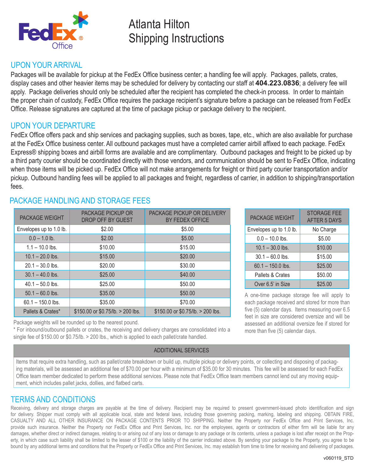

# Atlanta Hilton Shipping Instructions

### UPON YOUR ARRIVAL

Packages will be available for pickup at the FedEx Office business center; a handling fee will apply. Packages, pallets, crates, display cases and other heavier items may be scheduled for delivery by contacting our staff at **404.223.0836**; a delivery fee will apply. Package deliveries should only be scheduled after the recipient has completed the check-in process. In order to maintain the proper chain of custody, FedEx Office requires the package recipient's signature before a package can be released from FedEx Office. Release signatures are captured at the time of package pickup or package delivery to the recipient.

## UPON YOUR DEPARTURE

FedEx Office offers pack and ship services and packaging supplies, such as boxes, tape, etc., which are also available for purchase at the FedEx Office business center. All outbound packages must have a completed carrier airbill affixed to each package. FedEx Express® shipping boxes and airbill forms are available and are complimentary. Outbound packages and freight to be picked up by a third party courier should be coordinated directly with those vendors, and communication should be sent to FedEx Office, indicating when those items will be picked up. FedEx Office will not make arrangements for freight or third party courier transportation and/or pickup. Outbound handling fees will be applied to all packages and freight, regardless of carrier, in addition to shipping/transportation fees.

| <b>PACKAGE WEIGHT</b>   | <b>PACKAGE PICKUP OR</b><br>DROP OFF BY GUEST | PACKAGE PICKUP OR DELIVERY<br>BY FEDEX OFFICE |
|-------------------------|-----------------------------------------------|-----------------------------------------------|
| Envelopes up to 1.0 lb. | \$2.00                                        | \$5.00                                        |
| $0.0 - 1.0$ lb.         | \$2.00                                        | \$5.00                                        |
| $1.1 - 10.0$ lbs.       | \$10.00                                       | \$15.00                                       |
| $10.1 - 20.0$ lbs.      | \$15.00                                       | \$20.00                                       |
| $20.1 - 30.0$ lbs.      | \$20.00                                       | \$30.00                                       |
| $30.1 - 40.0$ lbs.      | \$25.00                                       | \$40.00                                       |
| $40.1 - 50.0$ lbs.      | \$25.00                                       | \$50.00                                       |
| $50.1 - 60.0$ lbs.      | \$35.00                                       | \$50.00                                       |
| $60.1 - 150.0$ lbs.     | \$35.00                                       | \$70.00                                       |
| Pallets & Crates*       | $$150.00$ or $$0.75$ /lb. $> 200$ lbs.        | $$150.00$ or $$0.75$ /lb. $> 200$ lbs.        |

## PACKAGE HANDLING AND STORAGE FFES

Package weights will be rounded up to the nearest pound.

\* For inbound/outbound pallets or crates, the receiving and delivery charges are consolidated into a single fee of \$150.00 or \$0.75/lb. > 200 lbs., which is applied to each pallet/crate handled.

#### ADDITIONAL SERVICES

PACKAGE WEIGHT STORAGE FEE AFTER 5 DAYS Envelopes up to 1.0 lb. No Charge  $0.0 - 10.0$  lbs.  $$5.00$  $10.1 - 30.0$  lbs.  $\qquad \qquad$  \$10.00  $30.1 - 60.0$  lbs. \$15.00  $60.1 - 150.0$  lbs.  $$25.00$ Pallets & Crates | \$50.00 Over 6.5' in Size \$25.00

A one-time package storage fee will apply to each package received and stored for more than five (5) calendar days. Items measuring over 6.5 feet in size are considered oversize and will be assessed an additional oversize fee if stored for more than five (5) calendar days.

Items that require extra handling, such as pallet/crate breakdown or build up, multiple pickup or delivery points, or collecting and disposing of packaging materials, will be assessed an additional fee of \$70.00 per hour with a minimum of \$35.00 for 30 minutes. This fee will be assessed for each FedEx Office team member dedicated to perform these additional services. Please note that FedEx Office team members cannot lend out any moving equipment, which includes pallet jacks, dollies, and flatbed carts.

## TERMS AND CONDITIONS

Receiving, delivery and storage charges are payable at the time of delivery. Recipient may be required to present government-issued photo identification and sign for delivery. Shipper must comply with all applicable local, state and federal laws, including those governing packing, marking, labeling and shipping. OBTAIN FIRE, CASUALTY AND ALL OTHER INSURANCE ON PACKAGE CONTENTS PRIOR TO SHIPPING. Neither the Property nor FedEx Office and Print Services, Inc. provide such insurance. Neither the Property nor FedEx Office and Print Services, Inc. nor the employees, agents or contractors of either firm will be liable for any damages, whether direct or indirect damages, relating to or arising out of any loss or damage to any package or its contents, unless a package is lost after receipt on the Property, in which case such liability shall be limited to the lesser of \$100 or the liability of the carrier indicated above. By sending your package to the Property, you agree to be bound by any additional terms and conditions that the Property or FedEx Office and Print Services, Inc. may establish from time to time for receiving and delivering of packages.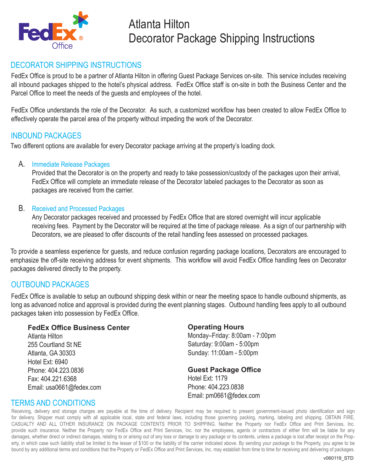

# Atlanta Hilton Decorator Package Shipping Instructions

## DECORATOR SHIPPING INSTRUCTIONS

FedEx Office is proud to be a partner of Atlanta Hilton in offering Guest Package Services on-site. This service includes receiving all inbound packages shipped to the hotel's physical address. FedEx Office staff is on-site in both the Business Center and the Parcel Office to meet the needs of the guests and employees of the hotel.

FedEx Office understands the role of the Decorator. As such, a customized workflow has been created to allow FedEx Office to effectively operate the parcel area of the property without impeding the work of the Decorator.

### INBOUND PACKAGES

Two different options are available for every Decorator package arriving at the property's loading dock.

#### A. Immediate Release Packages

Provided that the Decorator is on the property and ready to take possession/custody of the packages upon their arrival, FedEx Office will complete an immediate release of the Decorator labeled packages to the Decorator as soon as packages are received from the carrier.

#### B. Received and Processed Packages

Any Decorator packages received and processed by FedEx Office that are stored overnight will incur applicable receiving fees. Payment by the Decorator will be required at the time of package release. As a sign of our partnership with Decorators, we are pleased to offer discounts of the retail handling fees assessed on processed packages.

To provide a seamless experience for guests, and reduce confusion regarding package locations, Decorators are encouraged to emphasize the off-site receiving address for event shipments. This workflow will avoid FedEx Office handling fees on Decorator packages delivered directly to the property.

## OUTBOUND PACKAGES

FedEx Office is available to setup an outbound shipping desk within or near the meeting space to handle outbound shipments, as long as advanced notice and approval is provided during the event planning stages. Outbound handling fees apply to all outbound packages taken into possession by FedEx Office.

#### **FedEx Office Business Center**

Atlanta Hilton 255 Courtland St NE Atlanta, GA 30303 Hotel Ext: 6940 Phone: 404.223.0836 Fax: 404.221.6368 Email: usa0661@fedex.com

### **Operating Hours**

Monday–Friday: 8:00am - 7:00pm Saturday: 9:00am - 5:00pm Sunday: 11:00am - 5:00pm

#### **Guest Package Office**

Hotel Ext: 1179 Phone: 404.223.0838 Email: pm0661@fedex.com

### TERMS AND CONDITIONS

Receiving, delivery and storage charges are payable at the time of delivery. Recipient may be required to present government-issued photo identification and sign for delivery. Shipper must comply with all applicable local, state and federal laws, including those governing packing, marking, labeling and shipping. OBTAIN FIRE, CASUALTY AND ALL OTHER INSURANCE ON PACKAGE CONTENTS PRIOR TO SHIPPING. Neither the Property nor FedEx Office and Print Services, Inc. provide such insurance. Neither the Property nor FedEx Office and Print Services, Inc. nor the employees, agents or contractors of either firm will be liable for any damages, whether direct or indirect damages, relating to or arising out of any loss or damage to any package or its contents, unless a package is lost after receipt on the Property, in which case such liability shall be limited to the lesser of \$100 or the liability of the carrier indicated above. By sending your package to the Property, you agree to be bound by any additional terms and conditions that the Property or FedEx Office and Print Services, Inc. may establish from time to time for receiving and delivering of packages.